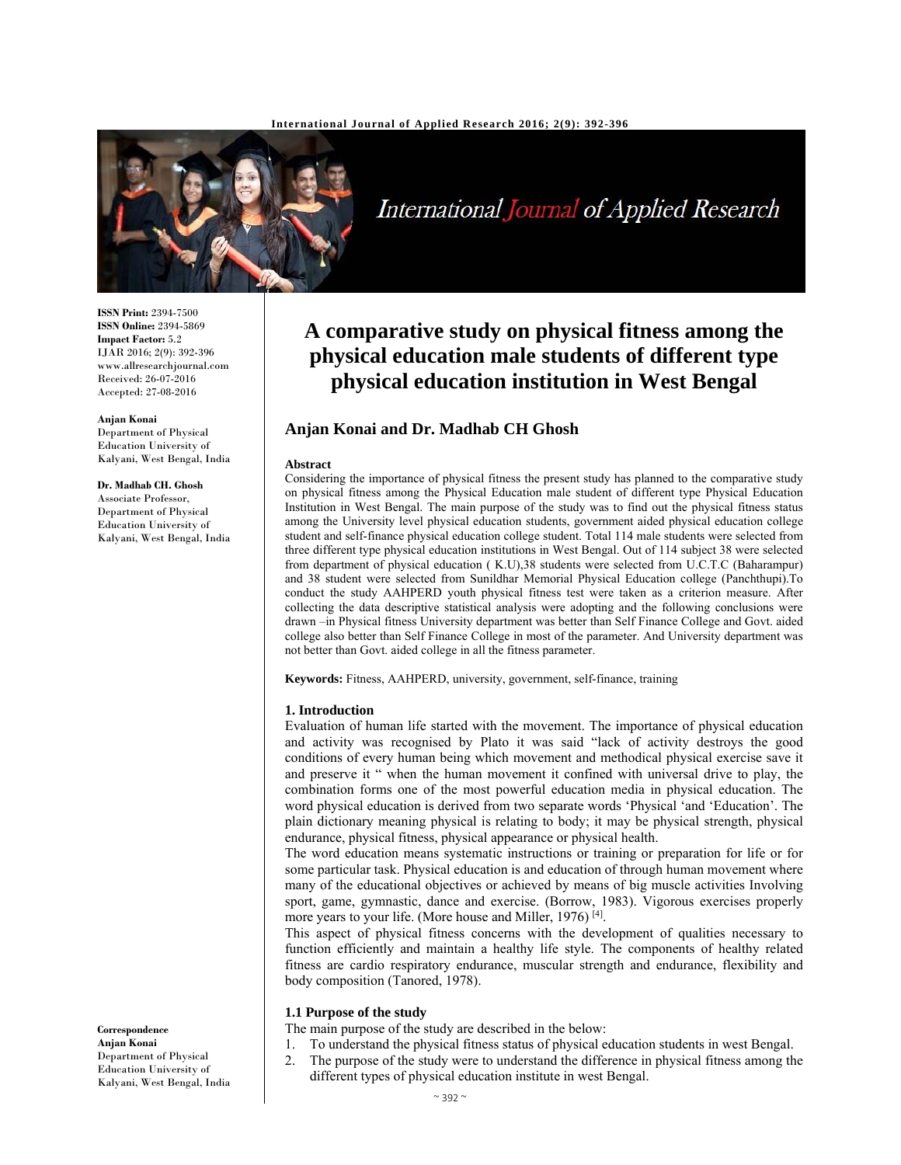

International Journal of Applied Research

**ISSN Print:** 2394-7500 **ISSN Online:** 2394-5869 **Impact Factor:** 5.2 IJAR 2016; 2(9): 392-396 www.allresearchjournal.com Received: 26-07-2016 Accepted: 27-08-2016

**Anjan Konai**

Department of Physical Education University of Kalyani, West Bengal, India

# **Dr. Madhab CH. Ghosh**

Associate Professor, Department of Physical Education University of Kalyani, West Bengal, India **A comparative study on physical fitness among the physical education male students of different type physical education institution in West Bengal** 

# **Anjan Konai and Dr. Madhab CH Ghosh**

#### **Abstract**

Considering the importance of physical fitness the present study has planned to the comparative study on physical fitness among the Physical Education male student of different type Physical Education Institution in West Bengal. The main purpose of the study was to find out the physical fitness status among the University level physical education students, government aided physical education college student and self-finance physical education college student. Total 114 male students were selected from three different type physical education institutions in West Bengal. Out of 114 subject 38 were selected from department of physical education ( K.U),38 students were selected from U.C.T.C (Baharampur) and 38 student were selected from Sunildhar Memorial Physical Education college (Panchthupi).To conduct the study AAHPERD youth physical fitness test were taken as a criterion measure. After collecting the data descriptive statistical analysis were adopting and the following conclusions were drawn –in Physical fitness University department was better than Self Finance College and Govt. aided college also better than Self Finance College in most of the parameter. And University department was not better than Govt. aided college in all the fitness parameter.

**Keywords:** Fitness, AAHPERD, university, government, self-finance, training

#### **1. Introduction**

Evaluation of human life started with the movement. The importance of physical education and activity was recognised by Plato it was said "lack of activity destroys the good conditions of every human being which movement and methodical physical exercise save it and preserve it " when the human movement it confined with universal drive to play, the combination forms one of the most powerful education media in physical education. The word physical education is derived from two separate words 'Physical 'and 'Education'. The plain dictionary meaning physical is relating to body; it may be physical strength, physical endurance, physical fitness, physical appearance or physical health.

The word education means systematic instructions or training or preparation for life or for some particular task. Physical education is and education of through human movement where many of the educational objectives or achieved by means of big muscle activities Involving sport, game, gymnastic, dance and exercise. (Borrow, 1983). Vigorous exercises properly more years to your life. (More house and Miller, 1976)<sup>[4]</sup>.

This aspect of physical fitness concerns with the development of qualities necessary to function efficiently and maintain a healthy life style. The components of healthy related fitness are cardio respiratory endurance, muscular strength and endurance, flexibility and body composition (Tanored, 1978).

## **1.1 Purpose of the study**

The main purpose of the study are described in the below:

- 1. To understand the physical fitness status of physical education students in west Bengal.
- 2. The purpose of the study were to understand the difference in physical fitness among the different types of physical education institute in west Bengal.

**Correspondence Anjan Konai** Department of Physical Education University of Kalyani, West Bengal, India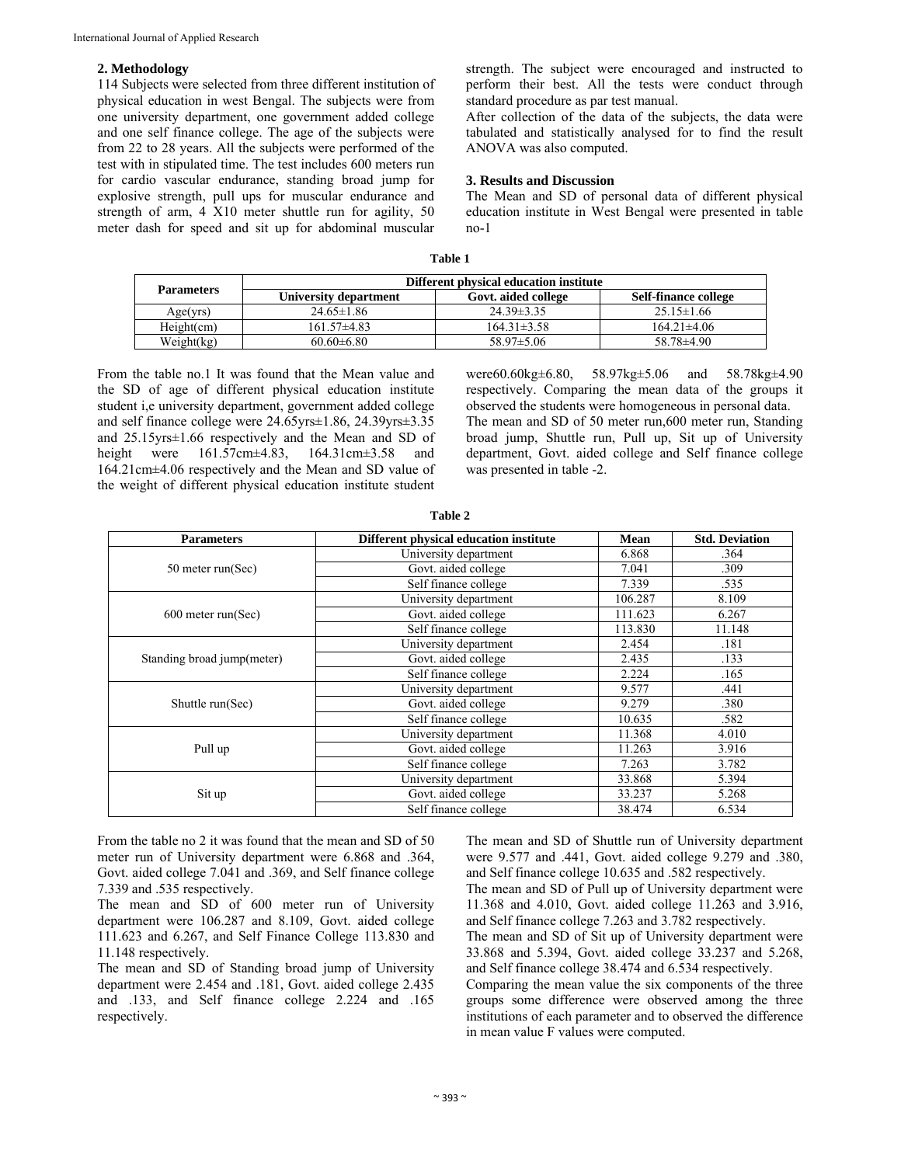## **2. Methodology**

114 Subjects were selected from three different institution of physical education in west Bengal. The subjects were from one university department, one government added college and one self finance college. The age of the subjects were from 22 to 28 years. All the subjects were performed of the test with in stipulated time. The test includes 600 meters run for cardio vascular endurance, standing broad jump for explosive strength, pull ups for muscular endurance and strength of arm, 4 X10 meter shuttle run for agility, 50 meter dash for speed and sit up for abdominal muscular strength. The subject were encouraged and instructed to perform their best. All the tests were conduct through standard procedure as par test manual.

After collection of the data of the subjects, the data were tabulated and statistically analysed for to find the result ANOVA was also computed.

#### **3. Results and Discussion**

The Mean and SD of personal data of different physical education institute in West Bengal were presented in table no-1

| m |  |
|---|--|
|   |  |

| <b>Parameters</b> | Different physical education institute |                     |                      |  |
|-------------------|----------------------------------------|---------------------|----------------------|--|
|                   | University department                  | Govt. aided college | Self-finance college |  |
| Age(yrs)          | $24.65 \pm 1.86$                       | $24.39 \pm 3.35$    | $25.15 \pm 1.66$     |  |
| Height(cm)        | $161.57\pm4.83$                        | $164.31 \pm 3.58$   | $164.21\pm4.06$      |  |
| Weight(kg)        | $60.60\pm6.80$                         | $58.97 \pm 5.06$    | $58.78\pm4.90$       |  |

From the table no.1 It was found that the Mean value and the SD of age of different physical education institute student i,e university department, government added college and self finance college were 24.65yrs±1.86, 24.39yrs±3.35 and 25.15yrs±1.66 respectively and the Mean and SD of height were 161.57cm±4.83, 164.31cm±3.58 and 164.21cm±4.06 respectively and the Mean and SD value of the weight of different physical education institute student were60.60kg±6.80, 58.97kg±5.06 and 58.78kg±4.90 respectively. Comparing the mean data of the groups it observed the students were homogeneous in personal data. The mean and SD of 50 meter run,600 meter run, Standing broad jump, Shuttle run, Pull up, Sit up of University department, Govt. aided college and Self finance college was presented in table -2.

| <b>Parameters</b>          | Different physical education institute | Mean    | <b>Std. Deviation</b> |
|----------------------------|----------------------------------------|---------|-----------------------|
|                            | University department                  | 6.868   | .364                  |
| 50 meter run(Sec)          | Govt. aided college                    | 7.041   | .309                  |
|                            | Self finance college                   | 7.339   | .535                  |
|                            | University department                  | 106.287 | 8.109                 |
| 600 meter run(Sec)         | Govt. aided college                    | 111.623 | 6.267                 |
|                            | Self finance college                   | 113.830 | 11.148                |
|                            | University department                  | 2.454   | .181                  |
| Standing broad jump(meter) | Govt. aided college                    | 2.435   | .133                  |
|                            | Self finance college                   | 2.224   | .165                  |
|                            | University department                  | 9.577   | .441                  |
| Shuttle run(Sec)           | Govt. aided college                    | 9.279   | .380                  |
|                            | Self finance college                   | 10.635  | .582                  |
|                            | University department                  | 11.368  | 4.010                 |
| Pull up                    | Govt. aided college                    | 11.263  | 3.916                 |
|                            | Self finance college                   | 7.263   | 3.782                 |
|                            | University department                  | 33.868  | 5.394                 |
| Sit up                     | Govt. aided college                    | 33.237  | 5.268                 |
|                            | Self finance college                   | 38.474  | 6.534                 |

**Table 2**

From the table no 2 it was found that the mean and SD of 50 meter run of University department were 6.868 and .364, Govt. aided college 7.041 and .369, and Self finance college 7.339 and .535 respectively.

The mean and SD of 600 meter run of University department were 106.287 and 8.109, Govt. aided college 111.623 and 6.267, and Self Finance College 113.830 and 11.148 respectively.

The mean and SD of Standing broad jump of University department were 2.454 and .181, Govt. aided college 2.435 and .133, and Self finance college 2.224 and .165 respectively.

The mean and SD of Shuttle run of University department were 9.577 and .441, Govt. aided college 9.279 and .380, and Self finance college 10.635 and .582 respectively. The mean and SD of Pull up of University department were

11.368 and 4.010, Govt. aided college 11.263 and 3.916, and Self finance college 7.263 and 3.782 respectively. The mean and SD of Sit up of University department were 33.868 and 5.394, Govt. aided college 33.237 and 5.268, and Self finance college 38.474 and 6.534 respectively. Comparing the mean value the six components of the three

groups some difference were observed among the three institutions of each parameter and to observed the difference in mean value F values were computed.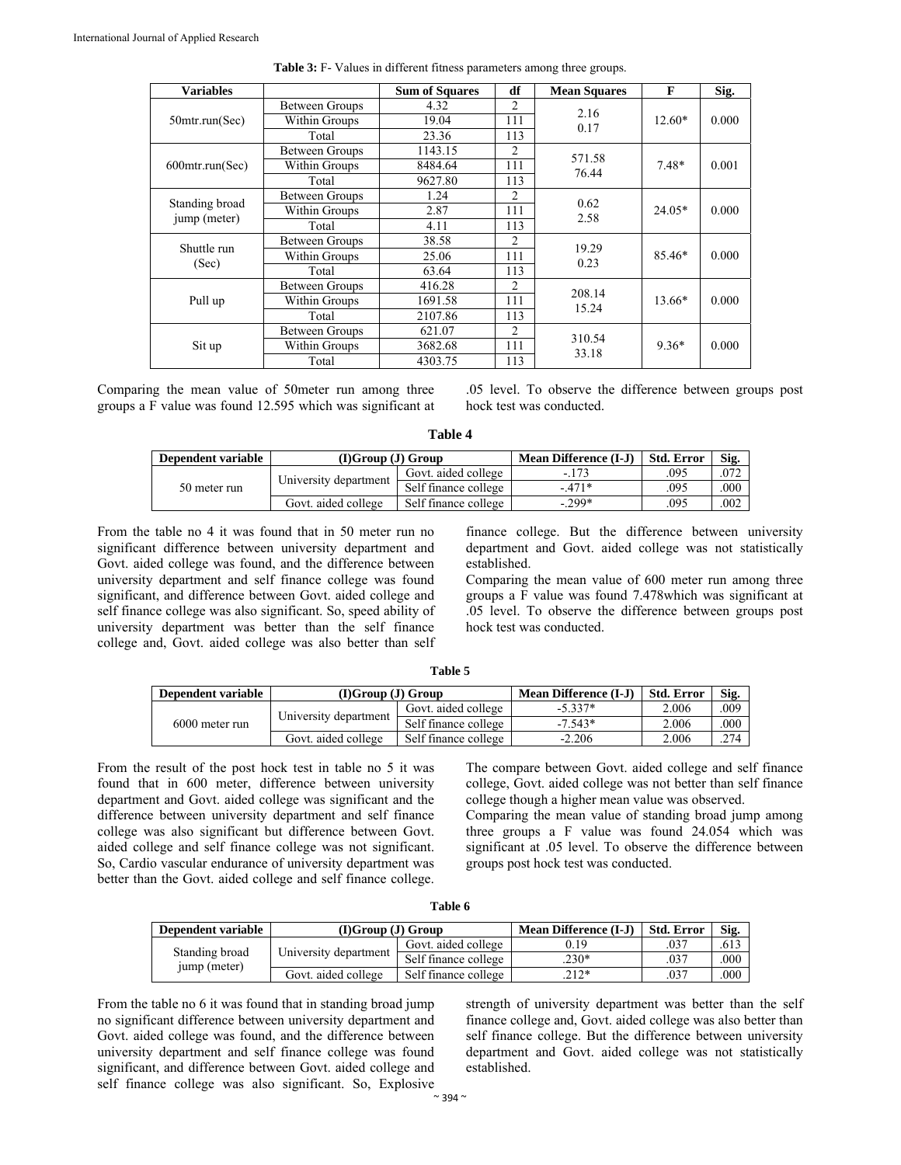| <b>Variables</b>               |                | <b>Sum of Squares</b> | df             | <b>Mean Squares</b> | F        | Sig.  |
|--------------------------------|----------------|-----------------------|----------------|---------------------|----------|-------|
|                                | Between Groups | 4.32                  | $\mathfrak{D}$ | 2.16                |          |       |
| $50$ mtr.run(Sec)              | Within Groups  | 19.04                 | 111            | 0.17                | $12.60*$ | 0.000 |
|                                | Total          | 23.36                 | 113            |                     |          |       |
|                                | Between Groups | 1143.15               | 2              | 571.58              |          |       |
| 600mtr.run(Sec)                | Within Groups  | 8484.64               | 111            | 76.44               | $7.48*$  | 0.001 |
|                                | Total          | 9627.80               | 113            |                     |          |       |
|                                | Between Groups | 1.24                  | $\overline{c}$ |                     |          |       |
| Standing broad<br>jump (meter) | Within Groups  | 2.87                  | 111            | 0.62<br>2.58        | $24.05*$ | 0.000 |
|                                | Total          | 4.11                  | 113            |                     |          |       |
|                                | Between Groups | 38.58                 | $\overline{c}$ | 19.29<br>0.23       | 85.46*   | 0.000 |
| Shuttle run                    | Within Groups  | 25.06                 | 111            |                     |          |       |
| (Sec)                          | Total          | 63.64                 | 113            |                     |          |       |
|                                | Between Groups | 416.28                | $\mathfrak{D}$ | 208.14              |          |       |
| Pull up                        | Within Groups  | 1691.58               | 111            | 15.24               | $13.66*$ | 0.000 |
|                                | Total          | 2107.86               | 113            |                     |          |       |
| Sit up                         | Between Groups | 621.07                | $\overline{c}$ |                     |          |       |
|                                | Within Groups  | 3682.68               | 111            | 310.54<br>33.18     | $9.36*$  | 0.000 |
|                                | Total          | 4303.75               | 113            |                     |          |       |

| Table 3: F- Values in different fitness parameters among three groups. |
|------------------------------------------------------------------------|
|------------------------------------------------------------------------|

Comparing the mean value of 50meter run among three groups a F value was found 12.595 which was significant at

.05 level. To observe the difference between groups post hock test was conducted.

**Table 4** 

| Dependent variable | (I)Group (J) Group    |                      | <b>Mean Difference (I-J)</b> | <b>Std. Error</b> | Sig. |
|--------------------|-----------------------|----------------------|------------------------------|-------------------|------|
| 50 meter run       | University department | Govt. aided college  | $-173$                       | .095              | .072 |
|                    |                       | Self finance college | $-471*$                      | .095              | .000 |
|                    | Govt. aided college   | Self finance college | $-299*$                      | .095              | .002 |

From the table no 4 it was found that in 50 meter run no significant difference between university department and Govt. aided college was found, and the difference between university department and self finance college was found significant, and difference between Govt. aided college and self finance college was also significant. So, speed ability of university department was better than the self finance college and, Govt. aided college was also better than self

finance college. But the difference between university department and Govt. aided college was not statistically established.

Comparing the mean value of 600 meter run among three groups a F value was found 7.478which was significant at .05 level. To observe the difference between groups post hock test was conducted.

| anı |  |
|-----|--|
|-----|--|

| Dependent variable | (DGroup (J) Group     |                      | Mean Difference (I-J) | <b>Std. Error</b> | Sig. |
|--------------------|-----------------------|----------------------|-----------------------|-------------------|------|
|                    | University department | Govt. aided college  | $-5.337*$             | 2.006             | .009 |
| 6000 meter run     |                       | Self finance college | $-7.543*$             | 2.006             | .000 |
|                    | Govt. aided college   | Self finance college | $-2.206$              | 2.006             | .274 |

From the result of the post hock test in table no 5 it was found that in 600 meter, difference between university department and Govt. aided college was significant and the difference between university department and self finance college was also significant but difference between Govt. aided college and self finance college was not significant. So, Cardio vascular endurance of university department was better than the Govt. aided college and self finance college.

The compare between Govt. aided college and self finance college, Govt. aided college was not better than self finance college though a higher mean value was observed.

Comparing the mean value of standing broad jump among three groups a F value was found 24.054 which was significant at .05 level. To observe the difference between groups post hock test was conducted.

| able |
|------|
|------|

| Dependent variable | (DGroup (J) Group     |                      | <b>Mean Difference (I-J)</b> | <b>Std. Error</b> | Sig. |
|--------------------|-----------------------|----------------------|------------------------------|-------------------|------|
|                    |                       | Govt. aided college  | 0.19                         | .037              | .613 |
| Standing broad     | University department | Self finance college | $.230*$                      | .037              | .000 |
| jump (meter)       | Govt. aided college   | Self finance college | $\gamma$ 17*                 | .037              | .000 |

From the table no 6 it was found that in standing broad jump no significant difference between university department and Govt. aided college was found, and the difference between university department and self finance college was found significant, and difference between Govt. aided college and self finance college was also significant. So, Explosive strength of university department was better than the self finance college and, Govt. aided college was also better than self finance college. But the difference between university department and Govt. aided college was not statistically established.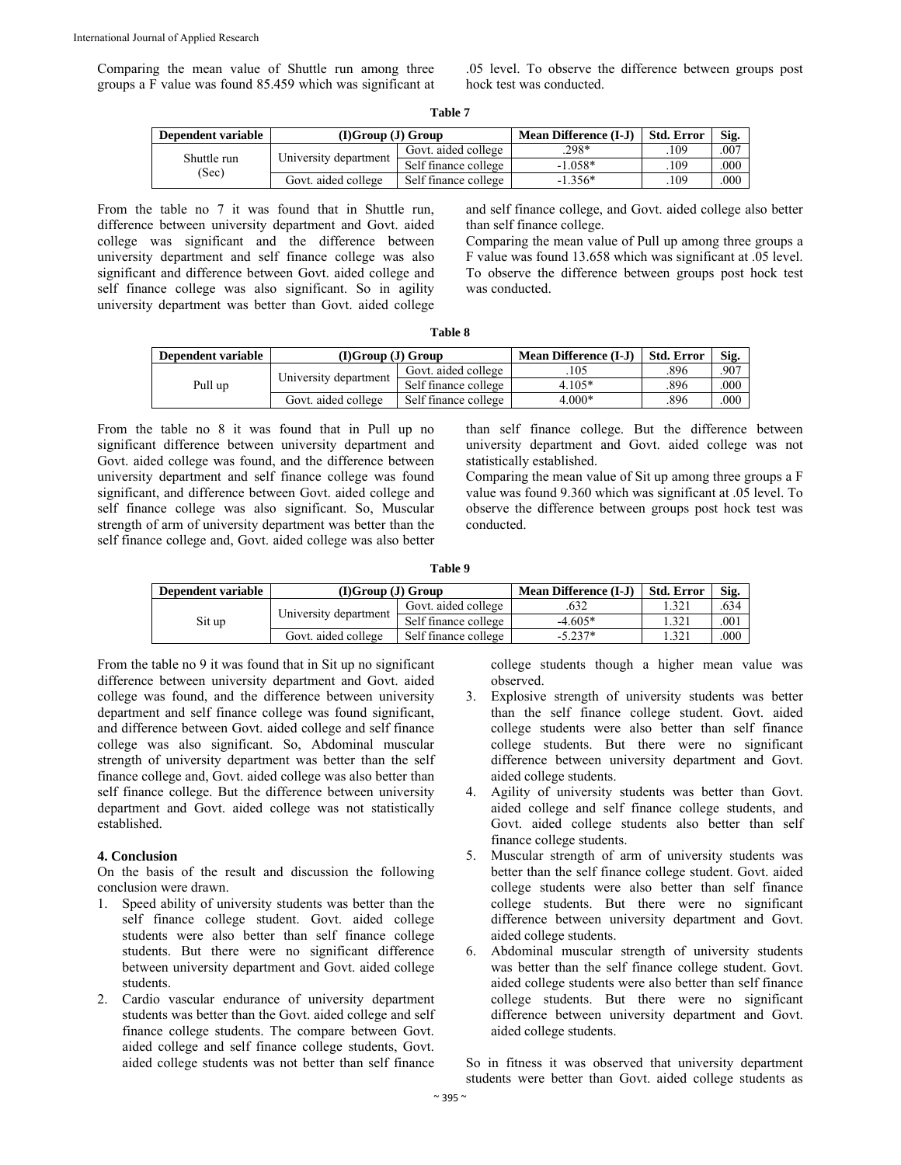Comparing the mean value of Shuttle run among three groups a F value was found 85.459 which was significant at

.05 level. To observe the difference between groups post hock test was conducted.

| ١<br>٧ |  |
|--------|--|
|--------|--|

| Dependent variable | $(I)$ Group $(J)$ Group |                      | <b>Mean Difference (I-J)</b> | <b>Std. Error</b> | Sig.   |
|--------------------|-------------------------|----------------------|------------------------------|-------------------|--------|
| Shuttle run        |                         | Govt. aided college  | $.298*$                      | 109               | $.00-$ |
| (Sec)              | University department   | Self finance college | $-1.058*$                    | 109               | .000   |
|                    | Govt. aided college     | Self finance college | $-1.356*$                    | .109              | .000   |

From the table no 7 it was found that in Shuttle run, difference between university department and Govt. aided college was significant and the difference between university department and self finance college was also significant and difference between Govt. aided college and self finance college was also significant. So in agility university department was better than Govt. aided college and self finance college, and Govt. aided college also better than self finance college.

Comparing the mean value of Pull up among three groups a F value was found 13.658 which was significant at .05 level. To observe the difference between groups post hock test was conducted.

| 'able |  |
|-------|--|
|-------|--|

| Dependent variable | $(I)$ Group $(J)$ Group |                      | Mean Difference (I-J) | <b>Std. Error</b> | Sig. |
|--------------------|-------------------------|----------------------|-----------------------|-------------------|------|
| Pull up            | University department   | Govt. aided college  | .105                  | .896              | .907 |
|                    |                         | Self finance college | $4.105*$              | .896              | .000 |
|                    | Govt. aided college     | Self finance college | $4.000*$              | .896              | .000 |

From the table no 8 it was found that in Pull up no significant difference between university department and Govt. aided college was found, and the difference between university department and self finance college was found significant, and difference between Govt. aided college and self finance college was also significant. So, Muscular strength of arm of university department was better than the self finance college and, Govt. aided college was also better than self finance college. But the difference between university department and Govt. aided college was not statistically established.

Comparing the mean value of Sit up among three groups a F value was found 9.360 which was significant at .05 level. To observe the difference between groups post hock test was conducted.

**Table 9** 

| Dependent variable | $(I)$ Group $(J)$ Group |                      | <b>Mean Difference (I-J)</b> | <b>Std. Error</b> | Sig. |
|--------------------|-------------------------|----------------------|------------------------------|-------------------|------|
| Sit up             | University department   | Govt. aided college  | .0 <i>32</i>                 | .321              | .634 |
|                    |                         | Self finance college | $-4.605*$                    | .321              | .001 |
|                    | Govt. aided college     | Self finance college | $-5.237*$                    | .321              | .000 |

From the table no 9 it was found that in Sit up no significant difference between university department and Govt. aided college was found, and the difference between university department and self finance college was found significant, and difference between Govt. aided college and self finance college was also significant. So, Abdominal muscular strength of university department was better than the self finance college and, Govt. aided college was also better than self finance college. But the difference between university department and Govt. aided college was not statistically established.

## **4. Conclusion**

On the basis of the result and discussion the following conclusion were drawn.

- 1. Speed ability of university students was better than the self finance college student. Govt. aided college students were also better than self finance college students. But there were no significant difference between university department and Govt. aided college students.
- 2. Cardio vascular endurance of university department students was better than the Govt. aided college and self finance college students. The compare between Govt. aided college and self finance college students, Govt. aided college students was not better than self finance

college students though a higher mean value was observed.

- 3. Explosive strength of university students was better than the self finance college student. Govt. aided college students were also better than self finance college students. But there were no significant difference between university department and Govt. aided college students.
- 4. Agility of university students was better than Govt. aided college and self finance college students, and Govt. aided college students also better than self finance college students.
- 5. Muscular strength of arm of university students was better than the self finance college student. Govt. aided college students were also better than self finance college students. But there were no significant difference between university department and Govt. aided college students.
- 6. Abdominal muscular strength of university students was better than the self finance college student. Govt. aided college students were also better than self finance college students. But there were no significant difference between university department and Govt. aided college students.

So in fitness it was observed that university department students were better than Govt. aided college students as